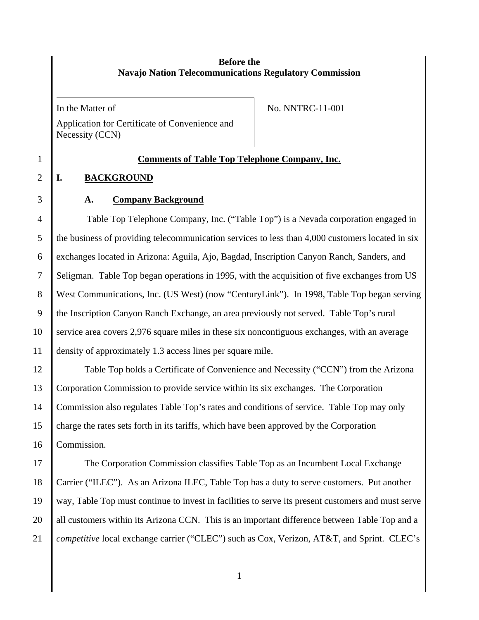# **Before the Navajo Nation Telecommunications Regulatory Commission**

In the Matter of

Application for Certificate of Convenience and Necessity (CCN)

No. NNTRC-11-001

# 1 **Comments of Table Top Telephone Company, Inc.**

# 2 **I. BACKGROUND**

# 3 **A. Company Background**

4 Table Top Telephone Company, Inc. ("Table Top") is a Nevada corporation engaged in 5 the business of providing telecommunication services to less than 4,000 customers located in six 6 exchanges located in Arizona: Aguila, Ajo, Bagdad, Inscription Canyon Ranch, Sanders, and 7 Seligman. Table Top began operations in 1995, with the acquisition of five exchanges from US 8 West Communications, Inc. (US West) (now "CenturyLink"). In 1998, Table Top began serving 9 the Inscription Canyon Ranch Exchange, an area previously not served. Table Top's rural 10 service area covers 2,976 square miles in these six noncontiguous exchanges, with an average 11 density of approximately 1.3 access lines per square mile.

12 Table Top holds a Certificate of Convenience and Necessity ("CCN") from the Arizona 13 Corporation Commission to provide service within its six exchanges. The Corporation 14 Commission also regulates Table Top's rates and conditions of service. Table Top may only 15 charge the rates sets forth in its tariffs, which have been approved by the Corporation 16 Commission.

17 The Corporation Commission classifies Table Top as an Incumbent Local Exchange 18 Carrier ("ILEC"). As an Arizona ILEC, Table Top has a duty to serve customers. Put another 19 way, Table Top must continue to invest in facilities to serve its present customers and must serve 20 || all customers within its Arizona CCN. This is an important difference between Table Top and a 21 *competitive* local exchange carrier ("CLEC") such as Cox, Verizon, AT&T, and Sprint. CLEC's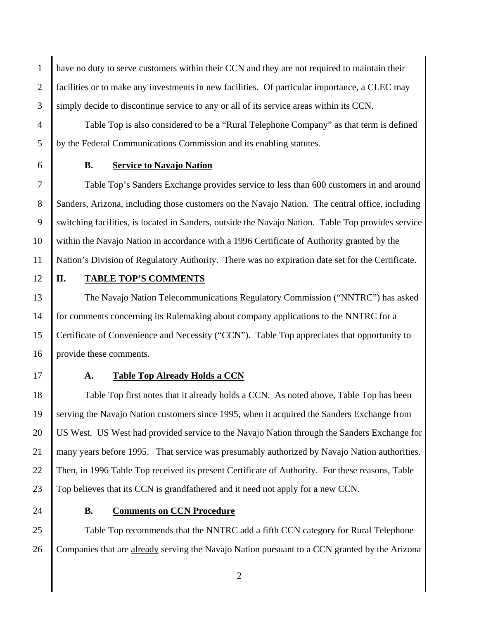1 have no duty to serve customers within their CCN and they are not required to maintain their 2 facilities or to make any investments in new facilities. Of particular importance, a CLEC may 3 Simply decide to discontinue service to any or all of its service areas within its CCN.

4 Table Top is also considered to be a "Rural Telephone Company" as that term is defined 5 by the Federal Communications Commission and its enabling statutes.

### 6 **B. Service to Navajo Nation**

7 Table Top's Sanders Exchange provides service to less than 600 customers in and around 8 Sanders, Arizona, including those customers on the Navajo Nation. The central office, including 9 switching facilities, is located in Sanders, outside the Navajo Nation. Table Top provides service 10 within the Navajo Nation in accordance with a 1996 Certificate of Authority granted by the 11 Nation's Division of Regulatory Authority. There was no expiration date set for the Certificate.

#### 12 **II. TABLE TOP'S COMMENTS**

13 The Navajo Nation Telecommunications Regulatory Commission ("NNTRC") has asked 14 for comments concerning its Rulemaking about company applications to the NNTRC for a 15 Certificate of Convenience and Necessity ("CCN"). Table Top appreciates that opportunity to 16 provide these comments.

## 17 **A. Table Top Already Holds a CCN**

18 Table Top first notes that it already holds a CCN. As noted above, Table Top has been 19 serving the Navajo Nation customers since 1995, when it acquired the Sanders Exchange from 20 US West. US West had provided service to the Navajo Nation through the Sanders Exchange for 21 many years before 1995. That service was presumably authorized by Navajo Nation authorities. 22 Then, in 1996 Table Top received its present Certificate of Authority. For these reasons, Table 23 Top believes that its CCN is grandfathered and it need not apply for a new CCN.

### 24 **B. Comments on CCN Procedure**

25 Table Top recommends that the NNTRC add a fifth CCN category for Rural Telephone 26 Companies that are already serving the Navajo Nation pursuant to a CCN granted by the Arizona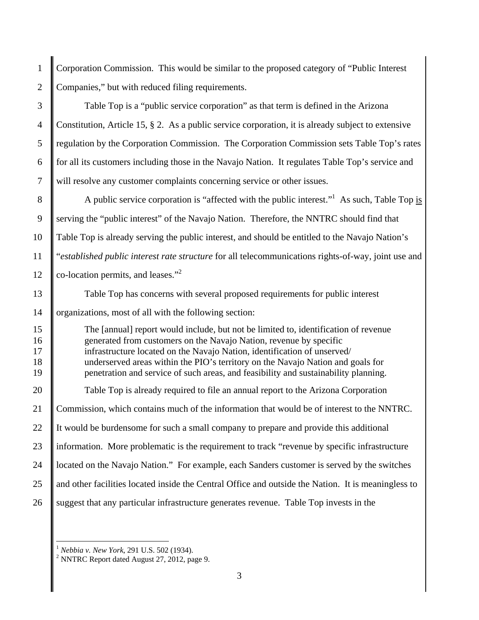1 Corporation Commission. This would be similar to the proposed category of "Public Interest 2 Companies," but with reduced filing requirements.

3 Table Top is a "public service corporation" as that term is defined in the Arizona 4 Constitution, Article 15, § 2. As a public service corporation, it is already subject to extensive 5 regulation by the Corporation Commission. The Corporation Commission sets Table Top's rates 6 for all its customers including those in the Navajo Nation. It regulates Table Top's service and 7 will resolve any customer complaints concerning service or other issues.  $\parallel$  A public service corporation is "affected with the public interest." As such, Table Top is 9 Serving the "public interest" of the Navajo Nation. Therefore, the NNTRC should find that 10 Table Top is already serving the public interest, and should be entitled to the Navajo Nation's 11 "*established public interest rate structure* for all telecommunications rights-of-way, joint use and 12  $\|$  co-location permits, and leases."<sup>2</sup> 13 Table Top has concerns with several proposed requirements for public interest 14 | organizations, most of all with the following section: 15 The [annual] report would include, but not be limited to, identification of revenue 16 generated from customers on the Navajo Nation, revenue by specific 17 infrastructure located on the Navajo Nation, identification of unserved/ 18 underserved areas within the PIO's territory on the Navajo Nation and goals for 19 **penetration and service of such areas, and feasibility and sustainability planning.** 20 Table Top is already required to file an annual report to the Arizona Corporation 21 Commission, which contains much of the information that would be of interest to the NNTRC. 22 If It would be burdensome for such a small company to prepare and provide this additional 23 information. More problematic is the requirement to track "revenue by specific infrastructure 24 | located on the Navajo Nation." For example, each Sanders customer is served by the switches 25 and other facilities located inside the Central Office and outside the Nation. It is meaningless to 26 Suggest that any particular infrastructure generates revenue. Table Top invests in the

 $\overline{a}$ 

3

<sup>1</sup> *Nebbia v. New York*, 291 U.S. 502 (1934). 2

 $2$  NNTRC Report dated August 27, 2012, page 9.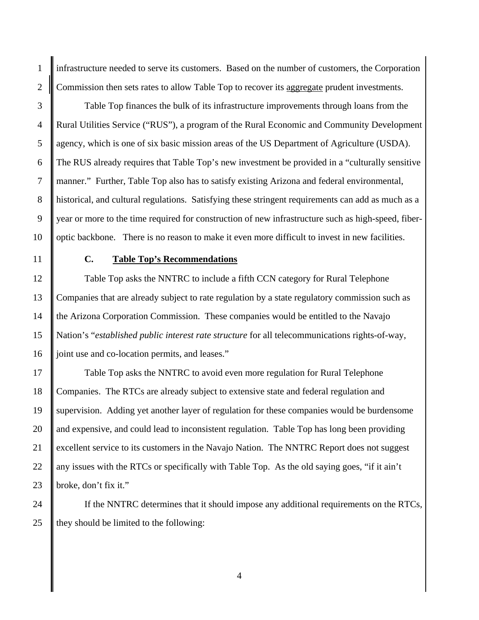1 infrastructure needed to serve its customers. Based on the number of customers, the Corporation 2 Commission then sets rates to allow Table Top to recover its aggregate prudent investments.

3 Table Top finances the bulk of its infrastructure improvements through loans from the 4 Rural Utilities Service ("RUS"), a program of the Rural Economic and Community Development 5 agency, which is one of six basic mission areas of the US Department of Agriculture (USDA). 6 The RUS already requires that Table Top's new investment be provided in a "culturally sensitive 7 manner." Further, Table Top also has to satisfy existing Arizona and federal environmental, 8 Sulphistorical, and cultural regulations. Satisfying these stringent requirements can add as much as a 9 year or more to the time required for construction of new infrastructure such as high-speed, fiber-10 **optic backbone.** There is no reason to make it even more difficult to invest in new facilities.

## 11 **C. Table Top's Recommendations**

12 Table Top asks the NNTRC to include a fifth CCN category for Rural Telephone 13 Companies that are already subject to rate regulation by a state regulatory commission such as 14 the Arizona Corporation Commission. These companies would be entitled to the Navajo 15 Nation's "*established public interest rate structure* for all telecommunications rights-of-way, 16 joint use and co-location permits, and leases."

17 Table Top asks the NNTRC to avoid even more regulation for Rural Telephone 18 Companies. The RTCs are already subject to extensive state and federal regulation and 19 supervision. Adding yet another layer of regulation for these companies would be burdensome 20 and expensive, and could lead to inconsistent regulation. Table Top has long been providing 21 excellent service to its customers in the Navajo Nation. The NNTRC Report does not suggest 22  $\parallel$  any issues with the RTCs or specifically with Table Top. As the old saying goes, "if it ain't 23 broke, don't fix it."

24 If the NNTRC determines that it should impose any additional requirements on the RTCs, 25  $\parallel$  they should be limited to the following: